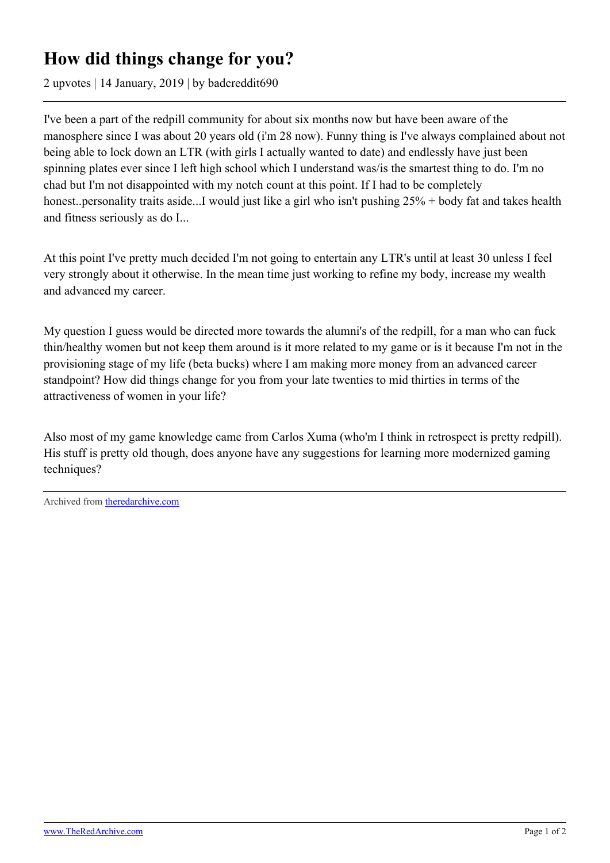## **How did things change for you?**

2 upvotes | 14 January, 2019 | by badcreddit690

I've been a part of the redpill community for about six months now but have been aware of the manosphere since I was about 20 years old (i'm 28 now). Funny thing is I've always complained about not being able to lock down an LTR (with girls I actually wanted to date) and endlessly have just been spinning plates ever since I left high school which I understand was/is the smartest thing to do. I'm no chad but I'm not disappointed with my notch count at this point. If I had to be completely honest..personality traits aside...I would just like a girl who isn't pushing 25% + body fat and takes health and fitness seriously as do I...

At this point I've pretty much decided I'm not going to entertain any LTR's until at least 30 unless I feel very strongly about it otherwise. In the mean time just working to refine my body, increase my wealth and advanced my career.

My question I guess would be directed more towards the alumni's of the redpill, for a man who can fuck thin/healthy women but not keep them around is it more related to my game or is it because I'm not in the provisioning stage of my life (beta bucks) where I am making more money from an advanced career standpoint? How did things change for you from your late twenties to mid thirties in terms of the attractiveness of women in your life?

Also most of my game knowledge came from Carlos Xuma (who'm I think in retrospect is pretty redpill). His stuff is pretty old though, does anyone have any suggestions for learning more modernized gaming techniques?

Archived from [theredarchive.com](https://theredarchive.com/r/askTRP/how-did-things-change-for-you.164821)